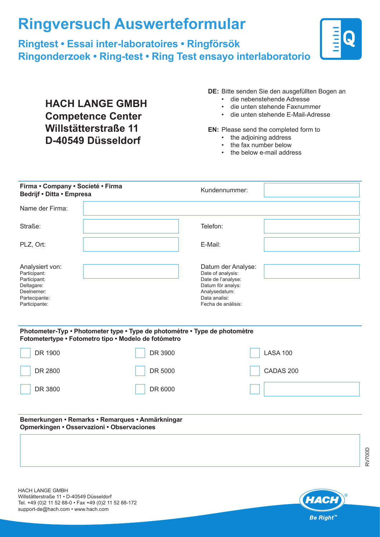## **Ringversuch Auswerteformular**

## **Ringtest • Essai inter-laboratoires • Ringförsök Ringonderzoek • Ring-test • Ring Test ensayo interlaboratorio**



**HACH LANGE GMBH Competence Center Willstätterstraße 11 D-40549 Düsseldorf**

**DE:** Bitte senden Sie den ausgefüllten Bogen an

- die nebenstehende Adresse
- die unten stehende Faxnummer
- die unten stehende E-Mail-Adresse

## **EN:** Please send the completed form to

- the adjoining address
- the fax number below
- the below e-mail address

| Firma • Company • Societé • Firma<br>Bedrijf • Ditta • Empresa                                                |                                                                                                                                    | Kundennummer:                                                                                                                              |                 |
|---------------------------------------------------------------------------------------------------------------|------------------------------------------------------------------------------------------------------------------------------------|--------------------------------------------------------------------------------------------------------------------------------------------|-----------------|
| Name der Firma:                                                                                               |                                                                                                                                    |                                                                                                                                            |                 |
| Straße:                                                                                                       |                                                                                                                                    | Telefon:                                                                                                                                   |                 |
| PLZ, Ort:                                                                                                     |                                                                                                                                    | E-Mail:                                                                                                                                    |                 |
| Analysiert von:<br>Participant:<br>Participant:<br>Deltagare:<br>Deelnemer:<br>Partecipante:<br>Participante: |                                                                                                                                    | Datum der Analyse:<br>Date of analysis:<br>Date de l'analyse:<br>Datum för analys:<br>Analysedatum:<br>Data analisi:<br>Fecha de análisis: |                 |
|                                                                                                               | Photometer-Typ • Photometer type • Type de photomètre • Type de photomètre<br>Fotometertype • Fotometro tipo • Modelo de fotómetro |                                                                                                                                            |                 |
| DR 1900                                                                                                       | DR 3900                                                                                                                            |                                                                                                                                            | <b>LASA 100</b> |
| DR 2800                                                                                                       | DR 5000                                                                                                                            |                                                                                                                                            | CADAS 200       |
| DR 3800                                                                                                       | DR 6000                                                                                                                            |                                                                                                                                            |                 |
|                                                                                                               | Bemerkungen • Remarks • Remarques • Anmärkningar<br>Opmerkingen • Osservazioni • Observaciones                                     |                                                                                                                                            |                 |
|                                                                                                               |                                                                                                                                    |                                                                                                                                            |                 |